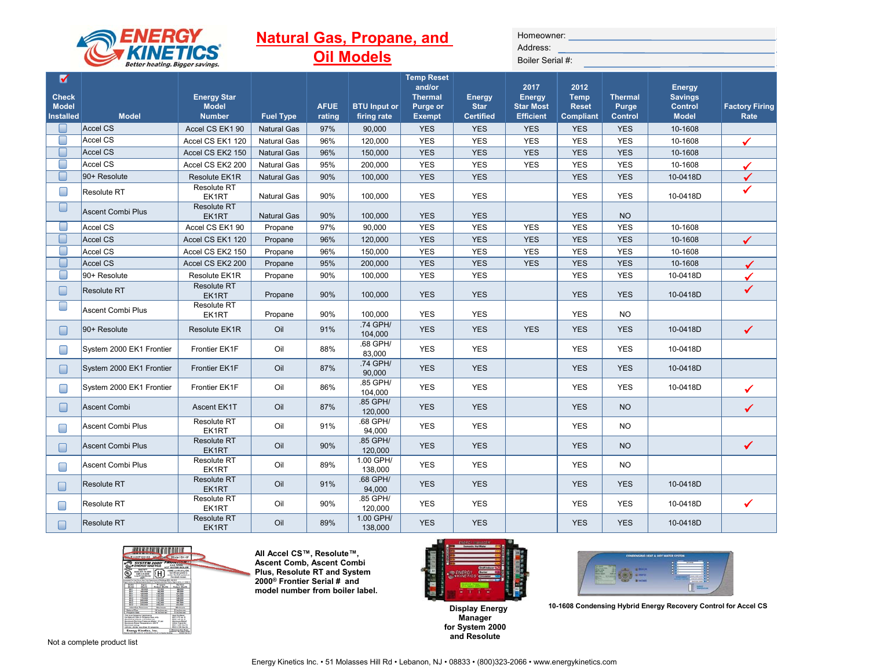|                                                       | ENERGY                                           |                                                     |                    |                       | <b>Natural Gas, Propane, and</b>   |                                                                            |                                                  | Homeowner:                                             |                                                         |                                           |                                                                   |                               |
|-------------------------------------------------------|--------------------------------------------------|-----------------------------------------------------|--------------------|-----------------------|------------------------------------|----------------------------------------------------------------------------|--------------------------------------------------|--------------------------------------------------------|---------------------------------------------------------|-------------------------------------------|-------------------------------------------------------------------|-------------------------------|
|                                                       | <b>KINETI</b><br>Better heating. Bigger savings. |                                                     |                    |                       | <b>Oil Models</b>                  |                                                                            |                                                  | Address:<br>Boiler Serial #:                           |                                                         |                                           |                                                                   |                               |
| V<br><b>Check</b><br><b>Model</b><br><b>Installed</b> | <b>Model</b>                                     | <b>Energy Star</b><br><b>Model</b><br><b>Number</b> | <b>Fuel Type</b>   | <b>AFUE</b><br>rating | <b>BTU Input or</b><br>firing rate | <b>Temp Reset</b><br>and/or<br><b>Thermal</b><br>Purge or<br><b>Exempt</b> | <b>Energy</b><br><b>Star</b><br><b>Certified</b> | 2017<br>Energy<br><b>Star Most</b><br><b>Efficient</b> | 2012<br><b>Temp</b><br><b>Reset</b><br><b>Compliant</b> | <b>Thermal</b><br>Purge<br><b>Control</b> | <b>Energy</b><br><b>Savings</b><br><b>Control</b><br><b>Model</b> | <b>Factory Firing</b><br>Rate |
|                                                       | Accel CS                                         | Accel CS EK1 90                                     | <b>Natural Gas</b> | 97%                   | 90,000                             | <b>YES</b>                                                                 | <b>YES</b>                                       | <b>YES</b>                                             | <b>YES</b>                                              | <b>YES</b>                                | 10-1608                                                           |                               |
| ▛                                                     | Accel CS                                         | Accel CS EK1 120                                    | <b>Natural Gas</b> | 96%                   | 120,000                            | <b>YES</b>                                                                 | <b>YES</b>                                       | <b>YES</b>                                             | <b>YES</b>                                              | <b>YES</b>                                | 10-1608                                                           |                               |
|                                                       | Accel CS                                         | Accel CS EK2 150                                    | <b>Natural Gas</b> | 96%                   | 150,000                            | <b>YES</b>                                                                 | <b>YES</b>                                       | <b>YES</b>                                             | <b>YES</b>                                              | <b>YES</b>                                | 10-1608                                                           |                               |
| $\Box$                                                | Accel CS                                         | Accel CS EK2 200                                    | <b>Natural Gas</b> | 95%                   | 200,000                            | <b>YES</b>                                                                 | <b>YES</b>                                       | <b>YES</b>                                             | <b>YES</b>                                              | <b>YES</b>                                | 10-1608                                                           |                               |
| L                                                     | 90+ Resolute                                     | Resolute EK1R                                       | <b>Natural Gas</b> | 90%                   | 100,000                            | <b>YES</b>                                                                 | <b>YES</b>                                       |                                                        | <b>YES</b>                                              | <b>YES</b>                                | 10-0418D                                                          |                               |
| $\Box$                                                | <b>Resolute RT</b>                               | Resolute RT<br>EK1RT                                | <b>Natural Gas</b> | 90%                   | 100,000                            | <b>YES</b>                                                                 | <b>YES</b>                                       |                                                        | <b>YES</b>                                              | <b>YES</b>                                | 10-0418D                                                          | ✔                             |
| $\Box$                                                | <b>Ascent Combi Plus</b>                         | <b>Resolute RT</b><br>EK1RT                         | <b>Natural Gas</b> | 90%                   | 100,000                            | <b>YES</b>                                                                 | <b>YES</b>                                       |                                                        | <b>YES</b>                                              | <b>NO</b>                                 |                                                                   |                               |
|                                                       | Accel CS                                         | Accel CS EK1 90                                     | Propane            | 97%                   | 90,000                             | <b>YES</b>                                                                 | <b>YES</b>                                       | <b>YES</b>                                             | <b>YES</b>                                              | <b>YES</b>                                | 10-1608                                                           |                               |
|                                                       | Accel CS                                         | Accel CS EK1 120                                    | Propane            | 96%                   | 120,000                            | <b>YES</b>                                                                 | <b>YES</b>                                       | <b>YES</b>                                             | <b>YES</b>                                              | <b>YES</b>                                | 10-1608                                                           |                               |
| $\blacksquare$                                        | Accel CS                                         | Accel CS EK2 150                                    | Propane            | 96%                   | 150,000                            | <b>YES</b>                                                                 | <b>YES</b>                                       | <b>YES</b>                                             | <b>YES</b>                                              | <b>YES</b>                                | 10-1608                                                           |                               |
|                                                       | Accel CS                                         | Accel CS EK2 200                                    | Propane            | 95%                   | 200,000                            | <b>YES</b>                                                                 | <b>YES</b>                                       | <b>YES</b>                                             | <b>YES</b>                                              | <b>YES</b>                                | 10-1608                                                           |                               |
| ┎                                                     | 90+ Resolute                                     | Resolute EK1R                                       | Propane            | 90%                   | 100.000                            | <b>YES</b>                                                                 | <b>YES</b>                                       |                                                        | <b>YES</b>                                              | <b>YES</b>                                | 10-0418D                                                          |                               |
| $\Box$                                                | <b>Resolute RT</b>                               | <b>Resolute RT</b><br>EK1RT                         | Propane            | 90%                   | 100,000                            | <b>YES</b>                                                                 | <b>YES</b>                                       |                                                        | <b>YES</b>                                              | <b>YES</b>                                | 10-0418D                                                          | ✔                             |
| $\Box$                                                | <b>Ascent Combi Plus</b>                         | Resolute RT<br>EK1RT                                | Propane            | 90%                   | 100,000                            | <b>YES</b>                                                                 | <b>YES</b>                                       |                                                        | <b>YES</b>                                              | <b>NO</b>                                 |                                                                   |                               |
| □                                                     | 90+ Resolute                                     | Resolute EK1R                                       | Oil                | 91%                   | .74 GPH/<br>104,000                | <b>YES</b>                                                                 | <b>YES</b>                                       | <b>YES</b>                                             | <b>YES</b>                                              | <b>YES</b>                                | 10-0418D                                                          | $\checkmark$                  |
| $\Box$                                                | System 2000 EK1 Frontier                         | Frontier EK1F                                       | Oil                | 88%                   | .68 GPH/<br>83,000                 | <b>YES</b>                                                                 | <b>YES</b>                                       |                                                        | <b>YES</b>                                              | <b>YES</b>                                | 10-0418D                                                          |                               |
| $\Box$                                                | System 2000 EK1 Frontier                         | Frontier EK1F                                       | Oil                | 87%                   | .74 GPH/<br>90,000                 | <b>YES</b>                                                                 | <b>YES</b>                                       |                                                        | <b>YES</b>                                              | <b>YES</b>                                | 10-0418D                                                          |                               |
| ∩                                                     | System 2000 EK1 Frontier                         | Frontier EK1F                                       | Oil                | 86%                   | .85 GPH/<br>104,000                | <b>YES</b>                                                                 | <b>YES</b>                                       |                                                        | <b>YES</b>                                              | <b>YES</b>                                | 10-0418D                                                          |                               |
| □                                                     | <b>Ascent Combi</b>                              | Ascent EK1T                                         | Oil                | 87%                   | .85 GPH/<br>120,000                | <b>YES</b>                                                                 | <b>YES</b>                                       |                                                        | <b>YES</b>                                              | <b>NO</b>                                 |                                                                   | ✓                             |
| $\Box$                                                | <b>Ascent Combi Plus</b>                         | Resolute RT<br>EK1RT                                | Oil                | 91%                   | .68 GPH/<br>94,000                 | <b>YES</b>                                                                 | <b>YES</b>                                       |                                                        | <b>YES</b>                                              | <b>NO</b>                                 |                                                                   |                               |
| $\Box$                                                | <b>Ascent Combi Plus</b>                         | <b>Resolute RT</b><br>EK1RT                         | Oil                | 90%                   | .85 GPH/<br>120,000                | <b>YES</b>                                                                 | <b>YES</b>                                       |                                                        | <b>YES</b>                                              | <b>NO</b>                                 |                                                                   | $\checkmark$                  |
| H                                                     | Ascent Combi Plus                                | <b>Resolute RT</b><br>EK1RT                         | Oil                | 89%                   | 1.00 GPH/<br>138,000               | <b>YES</b>                                                                 | <b>YES</b>                                       |                                                        | <b>YES</b>                                              | <b>NO</b>                                 |                                                                   |                               |
| ۰                                                     | <b>Resolute RT</b>                               | <b>Resolute RT</b><br>EK1RT                         | Oil                | 91%                   | .68 GPH/<br>94,000                 | <b>YES</b>                                                                 | <b>YES</b>                                       |                                                        | <b>YES</b>                                              | <b>YES</b>                                | 10-0418D                                                          |                               |
| $\Box$                                                | Resolute RT                                      | <b>Resolute RT</b><br>EK1RT                         | Oil                | 90%                   | .85 GPH/<br>120,000                | <b>YES</b>                                                                 | <b>YES</b>                                       |                                                        | <b>YES</b>                                              | <b>YES</b>                                | 10-0418D                                                          | ✓                             |
| ∩                                                     | <b>Resolute RT</b>                               | Resolute RT<br>EK1RT                                | Oil                | 89%                   | 1.00 GPH/<br>138.000               | <b>YES</b>                                                                 | <b>YES</b>                                       |                                                        | <b>YES</b>                                              | <b>YES</b>                                | 10-0418D                                                          |                               |



**All Accel CS™, Resolute™, Ascent Comb, Ascent Combi Plus, Resolute RT and System 2000® Frontier Serial # and model number from boiler label.**



**10-0418D Display Energy Manager for System 2000 and Resolute**



**10-1608 Condensing Hybrid Energy Recovery Control for Accel CS**

Not a complete product list